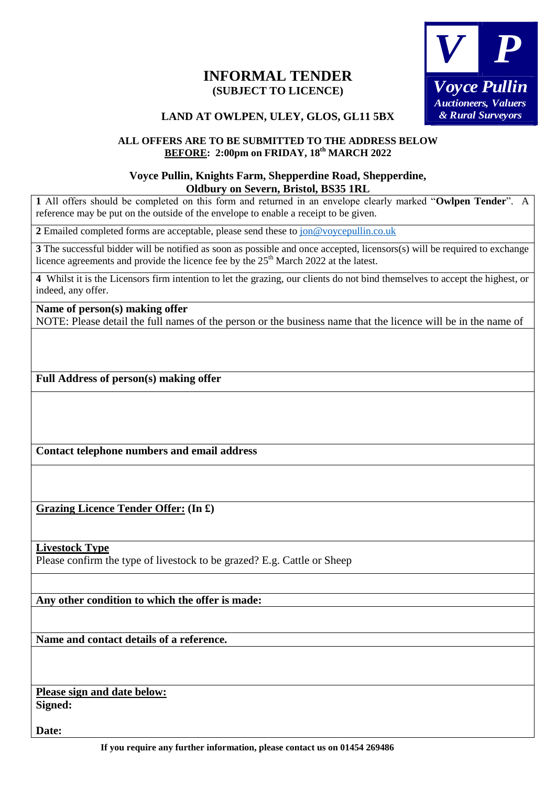# **INFORMAL TENDER (SUBJECT TO LICENCE)**



## **LAND AT OWLPEN, ULEY, GLOS, GL11 5BX**

### **ALL OFFERS ARE TO BE SUBMITTED TO THE ADDRESS BELOW BEFORE: 2:00pm on FRIDAY, 18th MARCH 2022**

### **Voyce Pullin, Knights Farm, Shepperdine Road, Shepperdine, Oldbury on Severn, Bristol, BS35 1RL**

**1** All offers should be completed on this form and returned in an envelope clearly marked "**Owlpen Tender**". A reference may be put on the outside of the envelope to enable a receipt to be given. **LAND AT CHEAPTER (SUBJECT TO LICENCE)**<br>
(SUBJECT TO LECENCE)<br>
LAND AT OWLERS, GLAS GLA11 SBX<br>
(SUBJECT TO LECENCE)<br>
LAND AT OWLERS, GLAS GLA11 SBX<br>
(ALL OFFERS 2 A00pm on FRIDAY, 18<sup>2</sup> MARCH 2022<br>
1 AT eIRes should be ver

**2** Emailed completed forms are acceptable, please send these to [jon@voycepullin.co.uk](mailto:jon@voycepullin.co.uk)

**3** The successful bidder will be notified as soon as possible and once accepted, licensors(s) will be required to exchange licence agreements and provide the licence fee by the  $25<sup>th</sup>$  March 2022 at the latest.

**4** Whilst it is the Licensors firm intention to let the grazing, our clients do not bind themselves to accept the highest, or indeed, any offer.

#### **Name of person(s) making offer**

NOTE: Please detail the full names of the person or the business name that the licence will be in the name of

**Full Address of person(s) making offer**

**Contact telephone numbers and email address**

**Grazing Licence Tender Offer: (In £)**

**Livestock Type**

Please confirm the type of livestock to be grazed? E.g. Cattle or Sheep

**Any other condition to which the offer is made:**

**Name and contact details of a reference.**

**Please sign and date below: Signed:**